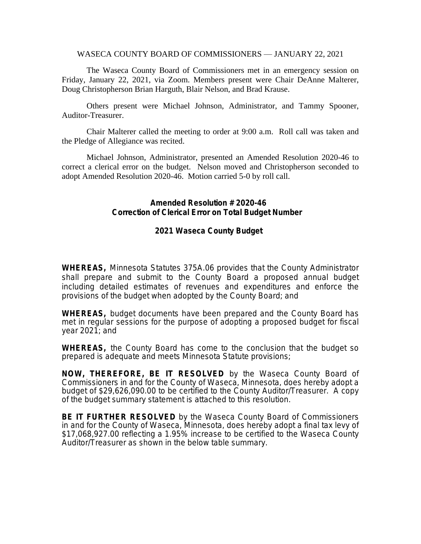WASECA COUNTY BOARD OF COMMISSIONERS — JANUARY 22, 2021

The Waseca County Board of Commissioners met in an emergency session on Friday, January 22, 2021, via Zoom. Members present were Chair DeAnne Malterer, Doug Christopherson Brian Harguth, Blair Nelson, and Brad Krause.

Others present were Michael Johnson, Administrator, and Tammy Spooner, Auditor-Treasurer.

Chair Malterer called the meeting to order at 9:00 a.m. Roll call was taken and the Pledge of Allegiance was recited.

Michael Johnson, Administrator, presented an Amended Resolution 2020-46 to correct a clerical error on the budget. Nelson moved and Christopherson seconded to adopt Amended Resolution 2020-46. Motion carried 5-0 by roll call.

## **Amended Resolution # 2020-46 Correction of Clerical Error on Total Budget Number**

## **2021 Waseca County Budget**

**WHEREAS,** Minnesota Statutes 375A.06 provides that the County Administrator shall prepare and submit to the County Board a proposed annual budget including detailed estimates of revenues and expenditures and enforce the provisions of the budget when adopted by the County Board; and

**WHEREAS,** budget documents have been prepared and the County Board has met in regular sessions for the purpose of adopting a proposed budget for fiscal year 2021; and

**WHEREAS,** the County Board has come to the conclusion that the budget so prepared is adequate and meets Minnesota Statute provisions;

**NOW, THEREFORE, BE IT RESOLVED** by the Waseca County Board of Commissioners in and for the County of Waseca, Minnesota, does hereby adopt a budget of \$29,626,090.00 to be certified to the County Auditor/Treasurer. A copy of the budget summary statement is attached to this resolution.

**BE IT FURTHER RESOLVED** by the Waseca County Board of Commissioners in and for the County of Waseca, Minnesota, does hereby adopt a final tax levy of \$17,068,927.00 reflecting a 1.95% increase to be certified to the Waseca County Auditor/Treasurer as shown in the below table summary.